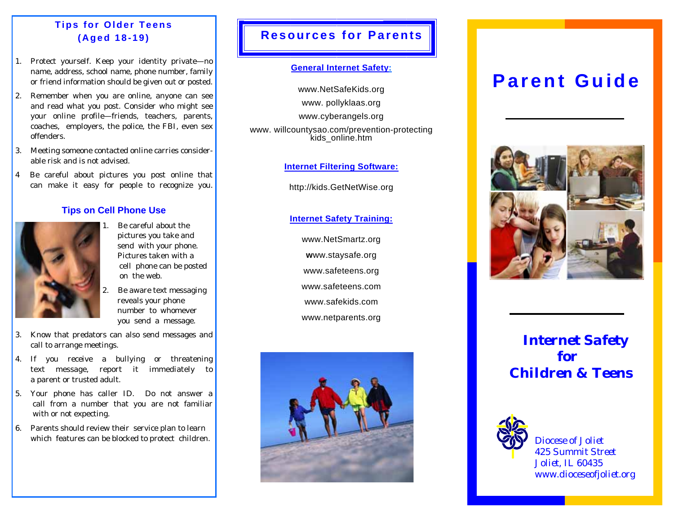# **Tips for Older Teens (Aged 18-19)**

- 1. Protect yourself. Keep your identity private—no name, address, school name, phone number, family or friend information should be given out or posted.
- 2. Remember when you are online, anyone can see and read what you post. Consider who might see your online profile—friends, teachers, parents, coaches, employers, the police, the FBI, even sex offenders.
- 3. Meeting someone contacted online carries considerable risk and is not advised.
- 4 Be careful about pictures you post online that can make it easy for people to recognize you.

### **Tips on Cell Phone Use**



- Be careful about the pictures you take and send with your phone. Pictures taken with a cell phone can be posted on the web.
- Be aware text messaging reveals your phone number to whomever you send a message.
- 3. Know that predators can also send messages and call to arrange meetings.
- 4. If you receive a bullying or threatening text message, report it immediately to a parent or trusted adult.
- 5. Your phone has caller ID. Do not answer a call from a number that you are not familiar with or not expecting.
- 6. Parents should review their service plan to learn which features can be blocked to protect children.

## **Resources for Parents**

### **General Internet Safety:**

www.NetSafeKids.org www. pollyklaas.org www.cyberangels.org www. willcountysao.com/prevention-protecting kids\_online.htm

### **Internet Filtering Software:**

http://kids.GetNetWise.org

**Internet Safety Training:**

www.NetSmartz.org **<sup>w</sup>**ww.staysafe.org www.safeteens.org www.safeteens.com www.safekids.com www.netparents.org



# **Parent Guide**



*Internet Safety for Children & Teens*



*Diocese of Joliet 425 Summit Street Joliet, IL 60435 www.dioceseofjoliet.org*